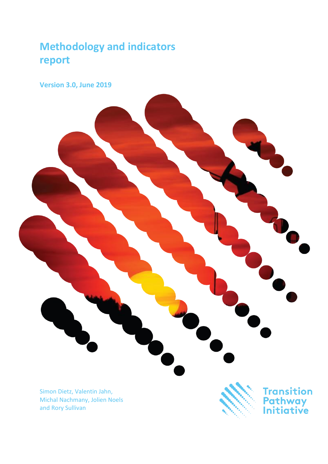# **Methodology and indicators report**

**Version 3.0, June 2019**

Simon Dietz, Valentin Jahn,

Michal Nachmany, Jolien Noels and Rory Sullivan



**Transition<br>Pathway<br>Initiative**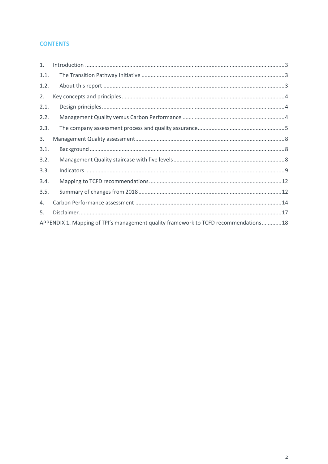## **CONTENTS**

| 1.   |                                                                                     |
|------|-------------------------------------------------------------------------------------|
| 1.1. |                                                                                     |
| 1.2. |                                                                                     |
| 2.   |                                                                                     |
| 2.1. |                                                                                     |
| 2.2. |                                                                                     |
| 2.3. |                                                                                     |
| 3.   |                                                                                     |
| 3.1. |                                                                                     |
| 3.2. |                                                                                     |
| 3.3. |                                                                                     |
| 3.4. |                                                                                     |
| 3.5. |                                                                                     |
| 4.   |                                                                                     |
| 5.   |                                                                                     |
|      | APPENDIX 1. Mapping of TPI's management quality framework to TCFD recommendations18 |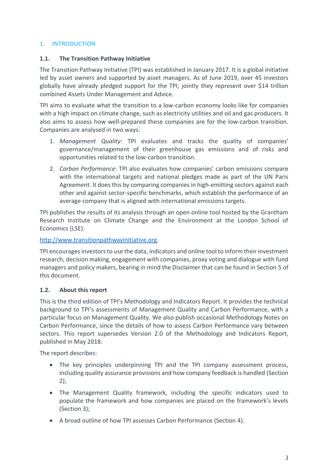# <span id="page-2-0"></span>**1. INTRODUCTION**

### <span id="page-2-1"></span>**1.1. The Transition Pathway Initiative**

The Transition Pathway Initiative (TPI) was established in January 2017. It is a global initiative led by asset owners and supported by asset managers. As of June 2019, over 45 investors globally have already pledged support for the TPI; jointly they represent over \$14 trillion combined Assets Under Management and Advice.

TPI aims to evaluate what the transition to a low-carbon economy looks like for companies with a high impact on climate change, such as electricity utilities and oil and gas producers. It also aims to assess how well-prepared these companies are for the low-carbon transition. Companies are analysed in two ways:

- 1. *Management Quality*: TPI evaluates and tracks the quality of companies' governance/management of their greenhouse gas emissions and of risks and opportunities related to the low-carbon transition.
- 2. *Carbon Performance*: TPI also evaluates how companies' carbon emissions compare with the international targets and national pledges made as part of the UN Paris Agreement. It does this by comparing companies in high-emitting sectors against each other and against sector-specific benchmarks, which establish the performance of an average company that is aligned with international emissions targets.

TPI publishes the results of its analysis through an open online tool hosted by the Grantham Research Institute on Climate Change and the Environment at the London School of Economics (LSE):

# [http://www.transitionpathwayinitiative.org.](http://www.transitionpathwayinitiative.org/)

TPI encourages investors to use the data, indicators and online tool to inform their investment research, decision making, engagement with companies, proxy voting and dialogue with fund managers and policy makers, bearing in mind the Disclaimer that can be found in Section [5](#page-16-0) of this document.

# <span id="page-2-2"></span>**1.2. About this report**

This is the third edition of TPI's Methodology and Indicators Report. It provides the technical background to TPI's assessments of Management Quality and Carbon Performance, with a particular focus on Management Quality. We also publish occasional Methodology Notes on Carbon Performance, since the details of how to assess Carbon Performance vary between sectors. This report supersedes Version 2.0 of the Methodology and Indicators Report, published in May 2018.

The report describes:

- The key principles underpinning TPI and the TPI company assessment process, including quality assurance provisions and how company feedback is handled (Section [2\)](#page-3-0);
- The Management Quality framework, including the specific indicators used to populate the framework and how companies are placed on the framework's levels (Section [3\)](#page-7-0);
- A broad outline of how TPI assesses Carbon Performance (Section [4\)](#page-13-0).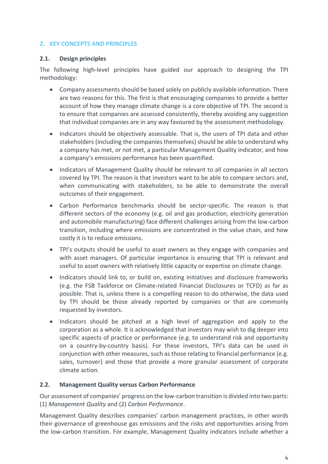#### <span id="page-3-0"></span>**2. KEY CONCEPTS AND PRINCIPLES**

#### <span id="page-3-1"></span>**2.1. Design principles**

The following high-level principles have guided our approach to designing the TPI methodology:

- Company assessments should be based solely on publicly available information. There are two reasons for this. The first is that encouraging companies to provide a better account of how they manage climate change is a core objective of TPI. The second is to ensure that companies are assessed consistently, thereby avoiding any suggestion that individual companies are in any way favoured by the assessment methodology.
- Indicators should be objectively assessable. That is, the users of TPI data and other stakeholders (including the companies themselves) should be able to understand why a company has met, or not met, a particular Management Quality indicator, and how a company's emissions performance has been quantified.
- Indicators of Management Quality should be relevant to all companies in all sectors covered by TPI. The reason is that investors want to be able to compare sectors and, when communicating with stakeholders, to be able to demonstrate the overall outcomes of their engagement.
- Carbon Performance benchmarks should be sector-specific. The reason is that different sectors of the economy (e.g. oil and gas production, electricity generation and automobile manufacturing) face different challenges arising from the low-carbon transition, including where emissions are concentrated in the value chain, and how costly it is to reduce emissions.
- TPI's outputs should be useful to asset owners as they engage with companies and with asset managers. Of particular importance is ensuring that TPI is relevant and useful to asset owners with relatively little capacity or expertise on climate change.
- Indicators should link to, or build on, existing initiatives and disclosure frameworks (e.g. the FSB Taskforce on Climate-related Financial Disclosures or TCFD) as far as possible. That is, unless there is a compelling reason to do otherwise, the data used by TPI should be those already reported by companies or that are commonly requested by investors.
- Indicators should be pitched at a high level of aggregation and apply to the corporation as a whole. It is acknowledged that investors may wish to dig deeper into specific aspects of practice or performance (e.g. to understand risk and opportunity on a country-by-country basis). For these investors, TPI's data can be used in conjunction with other measures, such as those relating to financial performance (e.g. sales, turnover) and those that provide a more granular assessment of corporate climate action.

#### <span id="page-3-2"></span>**2.2. Management Quality versus Carbon Performance**

Our assessment of companies' progress on the low-carbon transition is divided into two parts: (1) *Management Quality* and (2) *Carbon Performance*.

Management Quality describes companies' carbon management practices, in other words their governance of greenhouse gas emissions and the risks and opportunities arising from the low-carbon transition. For example, Management Quality indicators include whether a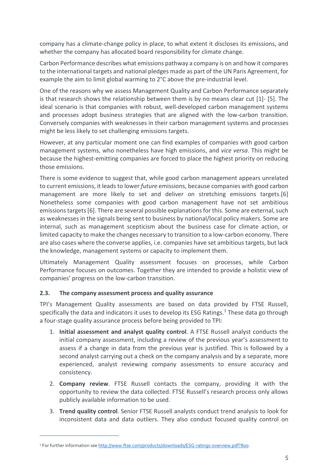company has a climate-change policy in place, to what extent it discloses its emissions, and whether the company has allocated board responsibility for climate change.

Carbon Performance describes what emissions pathway a company is on and how it compares to the international targets and national pledges made as part of the UN Paris Agreement, for example the aim to limit global warming to 2°C above the pre-industrial level.

One of the reasons why we assess Management Quality and Carbon Performance separately is that research shows the relationship between them is by no means clear cut [1]- [5]. The ideal scenario is that companies with robust, well-developed carbon management systems and processes adopt business strategies that are aligned with the low-carbon transition. Conversely companies with weaknesses in their carbon management systems and processes might be less likely to set challenging emissions targets.

However, at any particular moment one can find examples of companies with good carbon management systems, who nonetheless have high emissions, and *vice versa*. This might be because the highest-emitting companies are forced to place the highest priority on reducing those emissions.

There is some evidence to suggest that, while good carbon management appears unrelated to current emissions, it leads to lower *future* emissions, because companies with good carbon management are more likely to set and deliver on stretching emissions targets.[6] Nonetheless some companies with good carbon management have not set ambitious emissions targets[6]. There are several possible explanations for this. Some are external, such as weaknesses in the signals being sent to business by national/local policy makers. Some are internal, such as management scepticism about the business case for climate action, or limited capacity to make the changes necessary to transition to a low-carbon economy. There are also cases where the converse applies, i.e. companies have set ambitious targets, but lack the knowledge, management systems or capacity to implement them.

Ultimately Management Quality assessment focuses on processes, while Carbon Performance focuses on outcomes. Together they are intended to provide a holistic view of companies' progress on the low-carbon transition.

#### <span id="page-4-0"></span>**2.3. The company assessment process and quality assurance**

TPI's Management Quality assessments are based on data provided by FTSE Russell, specifically the data and indicators it uses to develop its ESG Ratings.<sup>1</sup> These data go through a four-stage quality assurance process before being provided to TPI:

- 1. **Initial assessment and analyst quality control**. A FTSE Russell analyst conducts the initial company assessment, including a review of the previous year's assessment to assess if a change in data from the previous year is justified. This is followed by a second analyst carrying out a check on the company analysis and by a separate, more experienced, analyst reviewing company assessments to ensure accuracy and consistency.
- 2. **Company review**. FTSE Russell contacts the company, providing it with the opportunity to review the data collected. FTSE Russell's research process only allows publicly available information to be used.
- 3. **Trend quality control**. Senior FTSE Russell analysts conduct trend analysis to look for inconsistent data and data outliers. They also conduct focused quality control on

<sup>1</sup> For further information se[e http://www.ftse.com/products/downloads/ESG-ratings-overview.pdf?800.](http://www.ftse.com/products/downloads/ESG-ratings-overview.pdf?800)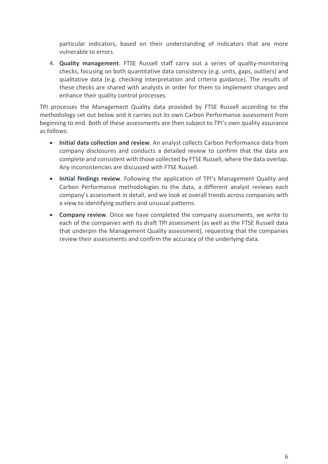particular indicators, based on their understanding of indicators that are more vulnerable to errors.

4. **Quality management**. FTSE Russell staff carry out a series of quality-monitoring checks, focusing on both quantitative data consistency (e.g. units, gaps, outliers) and qualitative data (e.g. checking interpretation and criteria guidance). The results of these checks are shared with analysts in order for them to implement changes and enhance their quality control processes.

TPI processes the Management Quality data provided by FTSE Russell according to the methodology set out below and it carries out its own Carbon Performance assessment from beginning to end. Both of these assessments are then subject to TPI's own quality assurance as follows:

- **Initial data collection and review**. An analyst collects Carbon Performance data from company disclosures and conducts a detailed review to confirm that the data are complete and consistent with those collected by FTSE Russell, where the data overlap. Any inconsistencies are discussed with FTSE Russell.
- **Initial findings review**. Following the application of TPI's Management Quality and Carbon Performance methodologies to the data, a different analyst reviews each company's assessment in detail, and we look at overall trends across companies with a view to identifying outliers and unusual patterns.
- **Company review**. Once we have completed the company assessments, we write to each of the companies with its draft TPI assessment (as well as the FTSE Russell data that underpin the Management Quality assessment), requesting that the companies review their assessments and confirm the accuracy of the underlying data.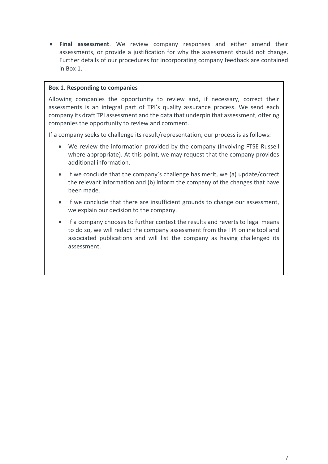• **Final assessment**. We review company responses and either amend their assessments, or provide a justification for why the assessment should not change. Further details of our procedures for incorporating company feedback are contained in Box 1.

#### **Box 1. Responding to companies**

Allowing companies the opportunity to review and, if necessary, correct their assessments is an integral part of TPI's quality assurance process. We send each company its draft TPI assessment and the data that underpin that assessment, offering companies the opportunity to review and comment.

If a company seeks to challenge its result/representation, our process is as follows:

- We review the information provided by the company (involving FTSE Russell where appropriate). At this point, we may request that the company provides additional information.
- If we conclude that the company's challenge has merit, we (a) update/correct the relevant information and (b) inform the company of the changes that have been made.
- If we conclude that there are insufficient grounds to change our assessment, we explain our decision to the company.
- If a company chooses to further contest the results and reverts to legal means to do so, we will redact the company assessment from the TPI online tool and associated publications and will list the company as having challenged its assessment.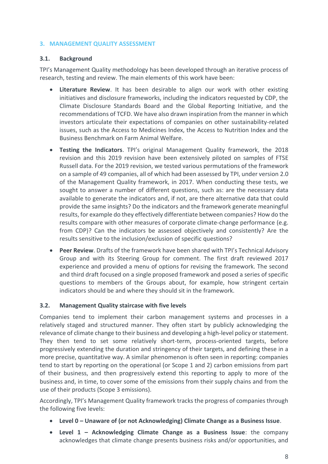#### <span id="page-7-0"></span>**3. MANAGEMENT QUALITY ASSESSMENT**

#### <span id="page-7-1"></span>**3.1. Background**

TPI's Management Quality methodology has been developed through an iterative process of research, testing and review. The main elements of this work have been:

- **Literature Review**. It has been desirable to align our work with other existing initiatives and disclosure frameworks, including the indicators requested by CDP, the Climate Disclosure Standards Board and the Global Reporting Initiative, and the recommendations of TCFD. We have also drawn inspiration from the manner in which investors articulate their expectations of companies on other sustainability-related issues, such as the Access to Medicines Index, the Access to Nutrition Index and the Business Benchmark on Farm Animal Welfare.
- **Testing the Indicators**. TPI's original Management Quality framework, the 2018 revision and this 2019 revision have been extensively piloted on samples of FTSE Russell data. For the 2019 revision, we tested various permutations of the framework on a sample of 49 companies, all of which had been assessed by TPI, under version 2.0 of the Management Quality framework, in 2017. When conducting these tests, we sought to answer a number of different questions, such as: are the necessary data available to generate the indicators and, if not, are there alternative data that could provide the same insights? Do the indicators and the framework generate meaningful results, for example do they effectively differentiate between companies? How do the results compare with other measures of corporate climate-change performance (e.g. from CDP)? Can the indicators be assessed objectively and consistently? Are the results sensitive to the inclusion/exclusion of specific questions?
- **Peer Review**. Drafts of the framework have been shared with TPI's Technical Advisory Group and with its Steering Group for comment. The first draft reviewed 2017 experience and provided a menu of options for revising the framework. The second and third draft focused on a single proposed framework and posed a series of specific questions to members of the Groups about, for example, how stringent certain indicators should be and where they should sit in the framework.

#### <span id="page-7-2"></span>**3.2. Management Quality staircase with five levels**

Companies tend to implement their carbon management systems and processes in a relatively staged and structured manner. They often start by publicly acknowledging the relevance of climate change to their business and developing a high-level policy or statement. They then tend to set some relatively short-term, process-oriented targets, before progressively extending the duration and stringency of their targets, and defining these in a more precise, quantitative way. A similar phenomenon is often seen in reporting: companies tend to start by reporting on the operational (or Scope 1 and 2) carbon emissions from part of their business, and then progressively extend this reporting to apply to more of the business and, in time, to cover some of the emissions from their supply chains and from the use of their products (Scope 3 emissions).

Accordingly, TPI's Management Quality framework tracks the progress of companies through the following five levels:

- **Level 0 – Unaware of (or not Acknowledging) Climate Change as a Business Issue**.
- **Level 1 – Acknowledging Climate Change as a Business Issue**: the company acknowledges that climate change presents business risks and/or opportunities, and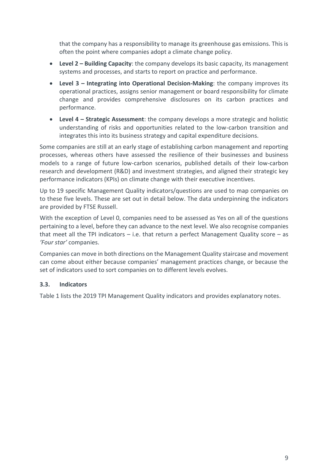that the company has a responsibility to manage its greenhouse gas emissions. This is often the point where companies adopt a climate change policy.

- **Level 2 – Building Capacity**: the company develops its basic capacity, its management systems and processes, and starts to report on practice and performance.
- **Level 3 – Integrating into Operational Decision-Making**: the company improves its operational practices, assigns senior management or board responsibility for climate change and provides comprehensive disclosures on its carbon practices and performance.
- **Level 4 – Strategic Assessment**: the company develops a more strategic and holistic understanding of risks and opportunities related to the low-carbon transition and integrates this into its business strategy and capital expenditure decisions.

Some companies are still at an early stage of establishing carbon management and reporting processes, whereas others have assessed the resilience of their businesses and business models to a range of future low-carbon scenarios, published details of their low-carbon research and development (R&D) and investment strategies, and aligned their strategic key performance indicators (KPIs) on climate change with their executive incentives.

Up to 19 specific Management Quality indicators/questions are used to map companies on to these five levels. These are set out in detail below. The data underpinning the indicators are provided by FTSE Russell.

With the exception of Level 0, companies need to be assessed as Yes on all of the questions pertaining to a level, before they can advance to the next level. We also recognise companies that meet all the TPI indicators  $-$  i.e. that return a perfect Management Quality score  $-$  as *'Four star'* companies.

Companies can move in both directions on the Management Quality staircase and movement can come about either because companies' management practices change, or because the set of indicators used to sort companies on to different levels evolves.

#### <span id="page-8-0"></span>**3.3. Indicators**

Table 1 lists the 2019 TPI Management Quality indicators and provides explanatory notes.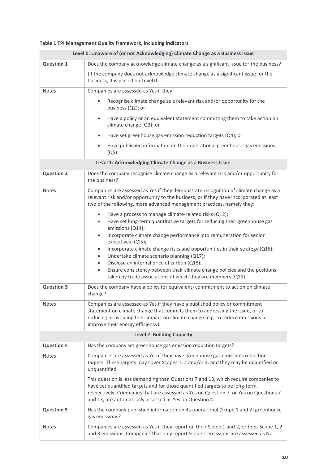|  | Table 1 TPI Management Quality framework, including indicators |  |  |  |  |
|--|----------------------------------------------------------------|--|--|--|--|
|--|----------------------------------------------------------------|--|--|--|--|

| Level 0: Unaware of (or not Acknowledging) Climate Change as a Business Issue |                                                                                                                                                                                                                                                                                                                                                                            |  |  |  |  |
|-------------------------------------------------------------------------------|----------------------------------------------------------------------------------------------------------------------------------------------------------------------------------------------------------------------------------------------------------------------------------------------------------------------------------------------------------------------------|--|--|--|--|
| <b>Question 1</b>                                                             | Does the company acknowledge climate change as a significant issue for the business?                                                                                                                                                                                                                                                                                       |  |  |  |  |
|                                                                               | [If the company does not acknowledge climate change as a significant issue for the<br>business, it is placed on Level 0]                                                                                                                                                                                                                                                   |  |  |  |  |
| <b>Notes</b>                                                                  | Companies are assessed as Yes if they:                                                                                                                                                                                                                                                                                                                                     |  |  |  |  |
|                                                                               | Recognise climate change as a relevant risk and/or opportunity for the<br>$\bullet$<br>business (Q2); or                                                                                                                                                                                                                                                                   |  |  |  |  |
|                                                                               | Have a policy or an equivalent statement committing them to take action on<br>$\bullet$<br>climate change (Q3); or                                                                                                                                                                                                                                                         |  |  |  |  |
|                                                                               | Have set greenhouse gas emission reduction targets (Q4); or<br>$\bullet$                                                                                                                                                                                                                                                                                                   |  |  |  |  |
|                                                                               | Have published information on their operational greenhouse gas emissions<br>$\bullet$<br>$(Q5)$ .                                                                                                                                                                                                                                                                          |  |  |  |  |
|                                                                               | Level 1: Acknowledging Climate Change as a Business Issue                                                                                                                                                                                                                                                                                                                  |  |  |  |  |
| <b>Question 2</b>                                                             | Does the company recognise climate change as a relevant risk and/or opportunity for<br>the business?                                                                                                                                                                                                                                                                       |  |  |  |  |
| <b>Notes</b>                                                                  | Companies are assessed as Yes if they demonstrate recognition of climate change as a<br>relevant risk and/or opportunity to the business, or if they have incorporated at least<br>two of the following, more advanced management practices, namely they:                                                                                                                  |  |  |  |  |
|                                                                               | Have a process to manage climate-related risks (Q12);<br>$\bullet$<br>Have set long-term quantitative targets for reducing their greenhouse gas<br>$\bullet$<br>emissions (Q14);<br>Incorporate climate change performance into remuneration for senior<br>$\bullet$<br>executives (Q15);                                                                                  |  |  |  |  |
|                                                                               | Incorporate climate change risks and opportunities in their strategy (Q16);<br>$\bullet$<br>Undertake climate scenario planning (Q17);<br>$\bullet$<br>Disclose an internal price of carbon (Q18);<br>$\bullet$<br>Ensure consistency between their climate change policies and the positions<br>$\bullet$<br>taken by trade associations of which they are members (Q19). |  |  |  |  |
| <b>Question 3</b>                                                             | Does the company have a policy (or equivalent) commitment to action on climate<br>change?                                                                                                                                                                                                                                                                                  |  |  |  |  |
| <b>Notes</b>                                                                  | Companies are assessed as Yes if they have a published policy or commitment<br>statement on climate change that commits them to addressing the issue, or to<br>reducing or avoiding their impact on climate change (e.g. to reduce emissions or<br>improve their energy efficiency).                                                                                       |  |  |  |  |
|                                                                               | <b>Level 2: Building Capacity</b>                                                                                                                                                                                                                                                                                                                                          |  |  |  |  |
| <b>Question 4</b>                                                             | Has the company set greenhouse gas emission reduction targets?                                                                                                                                                                                                                                                                                                             |  |  |  |  |
| <b>Notes</b>                                                                  | Companies are assessed as Yes if they have greenhouse gas emissions reduction<br>targets. These targets may cover Scopes 1, 2 and/or 3, and they may be quantified or<br>unquantified.                                                                                                                                                                                     |  |  |  |  |
|                                                                               | This question is less demanding than Questions 7 and 13, which require companies to<br>have set quantified targets and for those quantified targets to be long-term,<br>respectively. Companies that are assessed as Yes on Question 7, or Yes on Questions 7<br>and 13, are automatically assessed as Yes on Question 4.                                                  |  |  |  |  |
| <b>Question 5</b>                                                             | Has the company published information on its operational (Scope 1 and 2) greenhouse<br>gas emissions?                                                                                                                                                                                                                                                                      |  |  |  |  |
| <b>Notes</b>                                                                  | Companies are assessed as Yes if they report on their Scope 1 and 2, or their Scope 1, 2<br>and 3 emissions. Companies that only report Scope 1 emissions are assessed as No.                                                                                                                                                                                              |  |  |  |  |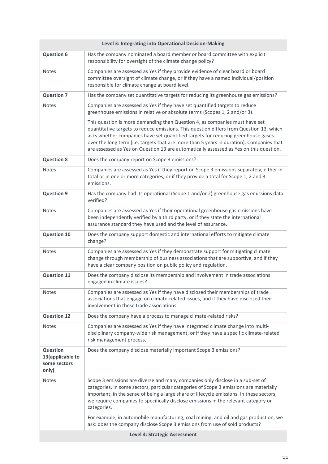| Level 3: Integrating into Operational Decision-Making |                                                                                                                                                                                                                                                                                                                                                                                                                                                  |  |  |  |  |
|-------------------------------------------------------|--------------------------------------------------------------------------------------------------------------------------------------------------------------------------------------------------------------------------------------------------------------------------------------------------------------------------------------------------------------------------------------------------------------------------------------------------|--|--|--|--|
| <b>Question 6</b>                                     | Has the company nominated a board member or board committee with explicit<br>responsibility for oversight of the climate change policy?                                                                                                                                                                                                                                                                                                          |  |  |  |  |
| <b>Notes</b>                                          | Companies are assessed as Yes if they provide evidence of clear board or board<br>committee oversight of climate change, or if they have a named individual/position<br>responsible for climate change at board level.                                                                                                                                                                                                                           |  |  |  |  |
| <b>Question 7</b>                                     | Has the company set quantitative targets for reducing its greenhouse gas emissions?                                                                                                                                                                                                                                                                                                                                                              |  |  |  |  |
| <b>Notes</b>                                          | Companies are assessed as Yes if they have set quantified targets to reduce<br>greenhouse emissions in relative or absolute terms (Scopes 1, 2 and/or 3).                                                                                                                                                                                                                                                                                        |  |  |  |  |
|                                                       | This question is more demanding than Question 4, as companies must have set<br>quantitative targets to reduce emissions. This question differs from Question 13, which<br>asks whether companies have set quantified targets for reducing greenhouse gases<br>over the long term (i.e. targets that are more than 5 years in duration). Companies that<br>are assessed as Yes on Question 13 are automatically assessed as Yes on this question. |  |  |  |  |
| <b>Question 8</b>                                     | Does the company report on Scope 3 emissions?                                                                                                                                                                                                                                                                                                                                                                                                    |  |  |  |  |
| <b>Notes</b>                                          | Companies are assessed as Yes if they report on Scope 3 emissions separately, either in<br>total or in one or more categories, or if they provide a total for Scope 1, 2 and 3<br>emissions.                                                                                                                                                                                                                                                     |  |  |  |  |
| <b>Question 9</b>                                     | Has the company had its operational (Scope 1 and/or 2) greenhouse gas emissions data<br>verified?                                                                                                                                                                                                                                                                                                                                                |  |  |  |  |
| <b>Notes</b>                                          | Companies are assessed as Yes if their operational greenhouse gas emissions have<br>been independently verified by a third party, or if they state the international<br>assurance standard they have used and the level of assurance.                                                                                                                                                                                                            |  |  |  |  |
| <b>Question 10</b>                                    | Does the company support domestic and international efforts to mitigate climate<br>change?                                                                                                                                                                                                                                                                                                                                                       |  |  |  |  |
| <b>Notes</b>                                          | Companies are assessed as Yes if they demonstrate support for mitigating climate<br>change through membership of business associations that are supportive, and if they<br>have a clear company position on public policy and regulation.                                                                                                                                                                                                        |  |  |  |  |
| <b>Question 11</b>                                    | Does the company disclose its membership and involvement in trade associations<br>engaged in climate issues?                                                                                                                                                                                                                                                                                                                                     |  |  |  |  |
| <b>Notes</b>                                          | Companies are assessed as Yes if they have disclosed their memberships of trade<br>associations that engage on climate-related issues, and if they have disclosed their<br>involvement in these trade associations.                                                                                                                                                                                                                              |  |  |  |  |
| <b>Question 12</b>                                    | Does the company have a process to manage climate-related risks?                                                                                                                                                                                                                                                                                                                                                                                 |  |  |  |  |
| <b>Notes</b>                                          | Companies are assessed as Yes if they have integrated climate change into multi-<br>disciplinary company-wide risk management, or if they have a specific climate-related<br>risk management process.                                                                                                                                                                                                                                            |  |  |  |  |
| Question<br>13(applicable to<br>some sectors<br>only) | Does the company disclose materially important Scope 3 emissions?                                                                                                                                                                                                                                                                                                                                                                                |  |  |  |  |
| <b>Notes</b>                                          | Scope 3 emissions are diverse and many companies only disclose in a sub-set of<br>categories. In some sectors, particular categories of Scope 3 emissions are materially<br>important, in the sense of being a large share of lifecycle emissions. In these sectors,<br>we require companies to specifically disclose emissions in the relevant category or<br>categories.                                                                       |  |  |  |  |
|                                                       | For example, in automobile manufacturing, coal mining, and oil and gas production, we<br>ask: does the company disclose Scope 3 emissions from use of sold products?                                                                                                                                                                                                                                                                             |  |  |  |  |
| Level 4: Strategic Assessment                         |                                                                                                                                                                                                                                                                                                                                                                                                                                                  |  |  |  |  |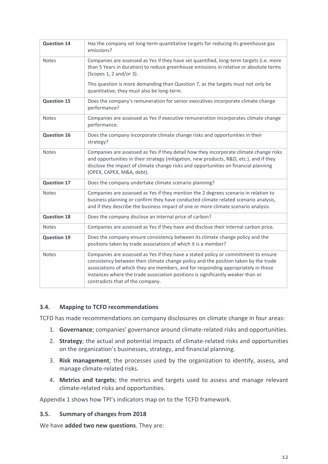| <b>Question 14</b> | Has the company set long-term quantitative targets for reducing its greenhouse gas<br>emissions?                                                                                                                                                                                                                                                                                      |
|--------------------|---------------------------------------------------------------------------------------------------------------------------------------------------------------------------------------------------------------------------------------------------------------------------------------------------------------------------------------------------------------------------------------|
| <b>Notes</b>       | Companies are assessed as Yes if they have set quantified, long-term targets (i.e. more<br>than 5 Years in duration) to reduce greenhouse emissions in relative or absolute terms<br>(Scopes 1, 2 and/or 3).                                                                                                                                                                          |
|                    | This question is more demanding than Question 7, as the targets must not only be<br>quantitative, they must also be long-term.                                                                                                                                                                                                                                                        |
| <b>Question 15</b> | Does the company's remuneration for senior executives incorporate climate change<br>performance?                                                                                                                                                                                                                                                                                      |
| <b>Notes</b>       | Companies are assessed as Yes if executive remuneration incorporates climate change<br>performance.                                                                                                                                                                                                                                                                                   |
| <b>Question 16</b> | Does the company incorporate climate change risks and opportunities in their<br>strategy?                                                                                                                                                                                                                                                                                             |
| <b>Notes</b>       | Companies are assessed as Yes if they detail how they incorporate climate change risks<br>and opportunities in their strategy (mitigation, new products, R&D, etc.), and if they<br>disclose the impact of climate change risks and opportunities on financial planning<br>(OPEX, CAPEX, M&A, debt).                                                                                  |
| <b>Question 17</b> | Does the company undertake climate scenario planning?                                                                                                                                                                                                                                                                                                                                 |
| <b>Notes</b>       | Companies are assessed as Yes if they mention the 2 degrees scenario in relation to<br>business planning or confirm they have conducted climate related scenario analysis,<br>and if they describe the business impact of one or more climate scenario analysis.                                                                                                                      |
| <b>Question 18</b> | Does the company disclose an internal price of carbon?                                                                                                                                                                                                                                                                                                                                |
| <b>Notes</b>       | Companies are assessed as Yes if they have and disclose their internal carbon price.                                                                                                                                                                                                                                                                                                  |
| <b>Question 19</b> | Does the company ensure consistency between its climate change policy and the<br>positions taken by trade associations of which it is a member?                                                                                                                                                                                                                                       |
| <b>Notes</b>       | Companies are assessed as Yes if they have a stated policy or commitment to ensure<br>consistency between their climate change policy and the position taken by the trade<br>associations of which they are members, and for responding appropriately in those<br>instances where the trade association positions is significantly weaker than or<br>contradicts that of the company. |

#### <span id="page-11-0"></span>**3.4. Mapping to TCFD recommendations**

TCFD has made recommendations on company disclosures on climate change in four areas:

- 1. **Governance**; companies' governance around climate-related risks and opportunities.
- 2. **Strategy**; the actual and potential impacts of climate-related risks and opportunities on the organization's businesses, strategy, and financial planning.
- 3. **Risk management**; the processes used by the organization to identify, assess, and manage climate-related risks.
- 4. **Metrics and targets**; the metrics and targets used to assess and manage relevant climate-related risks and opportunities.

Appendix 1 shows how TPI's indicators map on to the TCFD framework.

#### <span id="page-11-1"></span>**3.5. Summary of changes from 2018**

We have **added two new questions**. They are: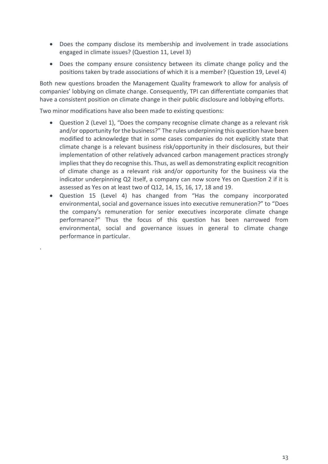- Does the company disclose its membership and involvement in trade associations engaged in climate issues? (Question 11, Level 3)
- Does the company ensure consistency between its climate change policy and the positions taken by trade associations of which it is a member? (Question 19, Level 4)

Both new questions broaden the Management Quality framework to allow for analysis of companies' lobbying on climate change. Consequently, TPI can differentiate companies that have a consistent position on climate change in their public disclosure and lobbying efforts.

Two minor modifications have also been made to existing questions:

.

- Question 2 (Level 1), "Does the company recognise climate change as a relevant risk and/or opportunity for the business?" The rules underpinning this question have been modified to acknowledge that in some cases companies do not explicitly state that climate change is a relevant business risk/opportunity in their disclosures, but their implementation of other relatively advanced carbon management practices strongly implies that they do recognise this. Thus, as well as demonstrating explicit recognition of climate change as a relevant risk and/or opportunity for the business via the indicator underpinning Q2 itself, a company can now score Yes on Question 2 if it is assessed as Yes on at least two of Q12, 14, 15, 16, 17, 18 and 19.
- Question 15 (Level 4) has changed from "Has the company incorporated environmental, social and governance issues into executive remuneration?" to "Does the company's remuneration for senior executives incorporate climate change performance?" Thus the focus of this question has been narrowed from environmental, social and governance issues in general to climate change performance in particular.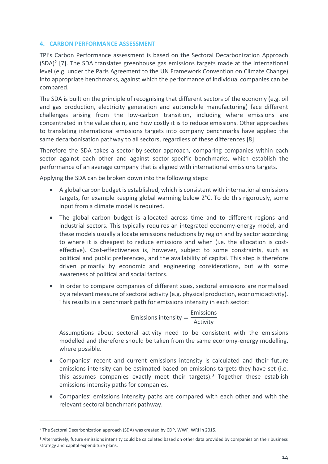#### <span id="page-13-0"></span>**4. CARBON PERFORMANCE ASSESSMENT**

TPI's Carbon Performance assessment is based on the Sectoral Decarbonization Approach  $(SDA)^2$  [7]. The SDA translates greenhouse gas emissions targets made at the international level (e.g. under the Paris Agreement to the UN Framework Convention on Climate Change) into appropriate benchmarks, against which the performance of individual companies can be compared.

The SDA is built on the principle of recognising that different sectors of the economy (e.g. oil and gas production, electricity generation and automobile manufacturing) face different challenges arising from the low-carbon transition, including where emissions are concentrated in the value chain, and how costly it is to reduce emissions. Other approaches to translating international emissions targets into company benchmarks have applied the same decarbonisation pathway to all sectors, regardless of these differences [8].

Therefore the SDA takes a sector-by-sector approach, comparing companies within each sector against each other and against sector-specific benchmarks, which establish the performance of an average company that is aligned with international emissions targets.

Applying the SDA can be broken down into the following steps:

- A global carbon budget is established, which is consistent with international emissions targets, for example keeping global warming below 2°C. To do this rigorously, some input from a climate model is required.
- The global carbon budget is allocated across time and to different regions and industrial sectors. This typically requires an integrated economy-energy model, and these models usually allocate emissions reductions by region and by sector according to where it is cheapest to reduce emissions and when (i.e. the allocation is costeffective). Cost-effectiveness is, however, subject to some constraints, such as political and public preferences, and the availability of capital. This step is therefore driven primarily by economic and engineering considerations, but with some awareness of political and social factors.
- In order to compare companies of different sizes, sectoral emissions are normalised by a relevant measure of sectoral activity (e.g. physical production, economic activity). This results in a benchmark path for emissions intensity in each sector:

$$
Emissions intensity = \frac{Emissions}{Activity}
$$

Assumptions about sectoral activity need to be consistent with the emissions modelled and therefore should be taken from the same economy-energy modelling, where possible.

- Companies' recent and current emissions intensity is calculated and their future emissions intensity can be estimated based on emissions targets they have set (i.e. this assumes companies exactly meet their targets).<sup>3</sup> Together these establish emissions intensity paths for companies.
- Companies' emissions intensity paths are compared with each other and with the relevant sectoral benchmark pathway.

<sup>2</sup> The Sectoral Decarbonization approach (SDA) was created by CDP, WWF, WRI in 2015.

<sup>&</sup>lt;sup>3</sup> Alternatively, future emissions intensity could be calculated based on other data provided by companies on their business strategy and capital expenditure plans.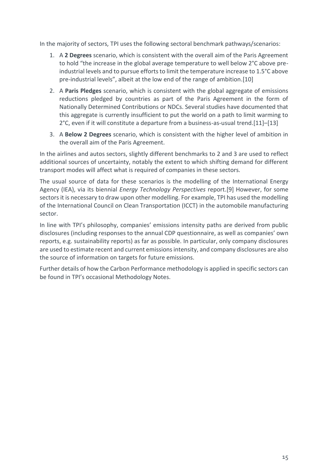In the majority of sectors, TPI uses the following sectoral benchmark pathways/scenarios:

- 1. A **2 Degrees** scenario, which is consistent with the overall aim of the Paris Agreement to hold "the increase in the global average temperature to well below 2°C above preindustrial levels and to pursue efforts to limit the temperature increase to 1.5°C above pre-industrial levels", albeit at the low end of the range of ambition.[10]
- 2. A **Paris Pledges** scenario, which is consistent with the global aggregate of emissions reductions pledged by countries as part of the Paris Agreement in the form of Nationally Determined Contributions or NDCs. Several studies have documented that this aggregate is currently insufficient to put the world on a path to limit warming to 2°C, even if it will constitute a departure from a business-as-usual trend.[11]–[13]
- 3. A **Below 2 Degrees** scenario, which is consistent with the higher level of ambition in the overall aim of the Paris Agreement.

In the airlines and autos sectors, slightly different benchmarks to 2 and 3 are used to reflect additional sources of uncertainty, notably the extent to which shifting demand for different transport modes will affect what is required of companies in these sectors.

The usual source of data for these scenarios is the modelling of the International Energy Agency (IEA), via its biennial *Energy Technology Perspectives* report.[9] However, for some sectors it is necessary to draw upon other modelling. For example, TPI has used the modelling of the International Council on Clean Transportation (ICCT) in the automobile manufacturing sector.

In line with TPI's philosophy, companies' emissions intensity paths are derived from public disclosures (including responses to the annual CDP questionnaire, as well as companies' own reports, e.g. sustainability reports) as far as possible. In particular, only company disclosures are used to estimate recent and current emissions intensity, and company disclosures are also the source of information on targets for future emissions.

Further details of how the Carbon Performance methodology is applied in specific sectors can be found in TPI's occasional Methodology Notes.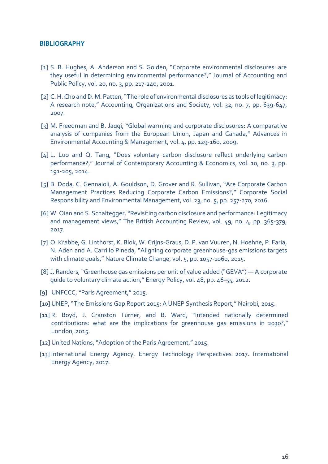#### **BIBLIOGRAPHY**

- [1] S. B. Hughes, A. Anderson and S. Golden, "Corporate environmental disclosures: are they useful in determining environmental performance?," Journal of Accounting and Public Policy, vol. 20, no. 3, pp. 217-240, 2001.
- [2] C. H. Cho and D. M. Patten, "The role of environmental disclosures as tools of legitimacy: A research note," Accounting, Organizations and Society, vol. 32, no. 7, pp. 639-647, 2007.
- [3] M. Freedman and B. Jaggi, "Global warming and corporate disclosures: A comparative analysis of companies from the European Union, Japan and Canada," Advances in Environmental Accounting & Management, vol. 4, pp. 129-160, 2009.
- [4] L. Luo and Q. Tang, "Does voluntary carbon disclosure reflect underlying carbon performance?," Journal of Contemporary Accounting & Economics, vol. 10, no. 3, pp. 191-205, 2014.
- [5] B. Doda, C. Gennaioli, A. Gouldson, D. Grover and R. Sullivan, "Are Corporate Carbon Management Practices Reducing Corporate Carbon Emissions?," Corporate Social Responsibility and Environmental Management, vol. 23, no. 5, pp. 257-270, 2016.
- [6] W. Qian and S. Schaltegger, "Revisiting carbon disclosure and performance: Legitimacy and management views," The British Accounting Review, vol. 49, no. 4, pp. 365-379, 2017.
- [7] O. Krabbe, G. Linthorst, K. Blok, W. Crijns-Graus, D. P. van Vuuren, N. Hoehne, P. Faria, N. Aden and A. Carrillo Pineda, "Aligning corporate greenhouse-gas emissions targets with climate goals," Nature Climate Change, vol. 5, pp. 1057-1060, 2015.
- [8] J. Randers, "Greenhouse gas emissions per unit of value added ("GEVA") A corporate guide to voluntary climate action," Energy Policy, vol. 48, pp. 46-55, 2012.
- [9] UNFCCC, "Paris Agreement," 2015.
- [10] UNEP, "The Emissions Gap Report 2015: A UNEP Synthesis Report," Nairobi, 2015.
- [11] R. Boyd, J. Cranston Turner, and B. Ward, "Intended nationally determined contributions: what are the implications for greenhouse gas emissions in 2030?," London, 2015.
- [12] United Nations, "Adoption of the Paris Agreement," 2015.
- [13] International Energy Agency, Energy Technology Perspectives 2017. International Energy Agency, 2017.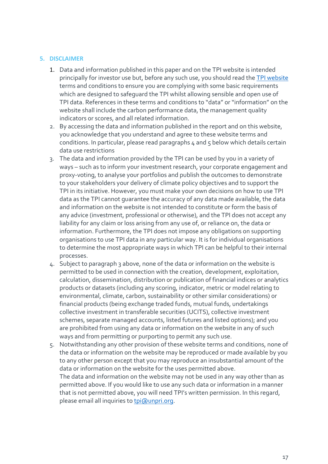#### <span id="page-16-0"></span>**5. DISCLAIMER**

- 1. Data and information published in this paper and on the TPI website is intended principally for investor use but, before any such use, you should read the [TPI website](https://transitionpathwayinitiative.org/) terms and conditions to ensure you are complying with some basic requirements which are designed to safeguard the TPI whilst allowing sensible and open use of TPI data. References in these terms and conditions to "data" or "information" on the website shall include the carbon performance data, the management quality indicators or scores, and all related information.
- 2. By accessing the data and information published in the report and on this website, you acknowledge that you understand and agree to these website terms and conditions. In particular, please read paragraphs 4 and 5 below which details certain data use restrictions
- 3. The data and information provided by the TPI can be used by you in a variety of ways – such as to inform your investment research, your corporate engagement and proxy-voting, to analyse your portfolios and publish the outcomes to demonstrate to your stakeholders your delivery of climate policy objectives and to support the TPI in its initiative. However, you must make your own decisions on how to use TPI data as the TPI cannot guarantee the accuracy of any data made available, the data and information on the website is not intended to constitute or form the basis of any advice (investment, professional or otherwise), and the TPI does not accept any liability for any claim or loss arising from any use of, or reliance on, the data or information. Furthermore, the TPI does not impose any obligations on supporting organisations to use TPI data in any particular way. It is for individual organisations to determine the most appropriate ways in which TPI can be helpful to their internal processes.
- 4. Subject to paragraph 3 above, none of the data or information on the website is permitted to be used in connection with the creation, development, exploitation, calculation, dissemination, distribution or publication of financial indices or analytics products or datasets (including any scoring, indicator, metric or model relating to environmental, climate, carbon, sustainability or other similar considerations) or financial products (being exchange traded funds, mutual funds, undertakings collective investment in transferable securities (UCITS), collective investment schemes, separate managed accounts, listed futures and listed options); and you are prohibited from using any data or information on the website in any of such ways and from permitting or purporting to permit any such use.
- 5. Notwithstanding any other provision of these website terms and conditions, none of the data or information on the website may be reproduced or made available by you to any other person except that you may reproduce an insubstantial amount of the data or information on the website for the uses permitted above. The data and information on the website may not be used in any way other than as permitted above. If you would like to use any such data or information in a manner that is not permitted above, you will need TPI's written permission. In this regard, please email all inquiries to [tpi@unpri.org.](mailto:tpi@unpri.org)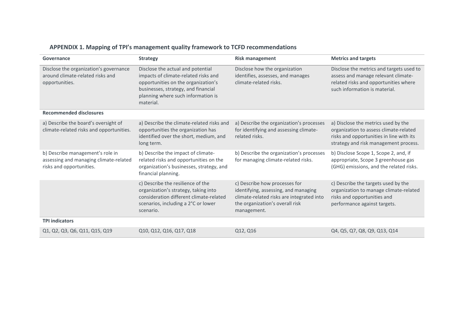<span id="page-17-0"></span>

| Governance                                                                                             | <b>Strategy</b>                                                                                                                                                                                            | <b>Risk management</b>                                                                                                                                               | <b>Metrics and targets</b>                                                                                                                                         |
|--------------------------------------------------------------------------------------------------------|------------------------------------------------------------------------------------------------------------------------------------------------------------------------------------------------------------|----------------------------------------------------------------------------------------------------------------------------------------------------------------------|--------------------------------------------------------------------------------------------------------------------------------------------------------------------|
| Disclose the organization's governance<br>around climate-related risks and<br>opportunities.           | Disclose the actual and potential<br>impacts of climate-related risks and<br>opportunities on the organization's<br>businesses, strategy, and financial<br>planning where such information is<br>material. | Disclose how the organization<br>identifies, assesses, and manages<br>climate-related risks.                                                                         | Disclose the metrics and targets used to<br>assess and manage relevant climate-<br>related risks and opportunities where<br>such information is material.          |
| <b>Recommended disclosures</b>                                                                         |                                                                                                                                                                                                            |                                                                                                                                                                      |                                                                                                                                                                    |
| a) Describe the board's oversight of<br>climate-related risks and opportunities.                       | a) Describe the climate-related risks and<br>opportunities the organization has<br>identified over the short, medium, and<br>long term.                                                                    | a) Describe the organization's processes<br>for identifying and assessing climate-<br>related risks.                                                                 | a) Disclose the metrics used by the<br>organization to assess climate-related<br>risks and opportunities in line with its<br>strategy and risk management process. |
| b) Describe management's role in<br>assessing and managing climate-related<br>risks and opportunities. | b) Describe the impact of climate-<br>related risks and opportunities on the<br>organization's businesses, strategy, and<br>financial planning.                                                            | b) Describe the organization's processes<br>for managing climate-related risks.                                                                                      | b) Disclose Scope 1, Scope 2, and, if<br>appropriate, Scope 3 greenhouse gas<br>(GHG) emissions, and the related risks.                                            |
|                                                                                                        | c) Describe the resilience of the<br>organization's strategy, taking into<br>consideration different climate-related<br>scenarios, including a 2°C or lower<br>scenario.                                   | c) Describe how processes for<br>identifying, assessing, and managing<br>climate-related risks are integrated into<br>the organization's overall risk<br>management. | c) Describe the targets used by the<br>organization to manage climate-related<br>risks and opportunities and<br>performance against targets.                       |
| <b>TPI indicators</b>                                                                                  |                                                                                                                                                                                                            |                                                                                                                                                                      |                                                                                                                                                                    |
| Q1, Q2, Q3, Q6, Q11, Q15, Q19                                                                          | Q10, Q12, Q16, Q17, Q18                                                                                                                                                                                    | Q12, Q16                                                                                                                                                             | Q4, Q5, Q7, Q8, Q9, Q13, Q14                                                                                                                                       |

# **APPENDIX 1. Mapping of TPI's management quality framework to TCFD recommendations**